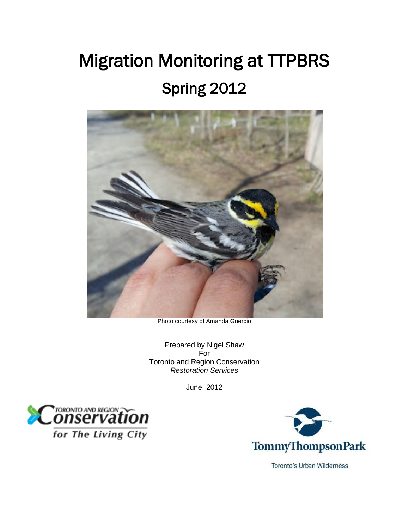# <span id="page-0-1"></span><span id="page-0-0"></span>Migration Monitoring at TTPBRS Spring 2012



Photo courtesy of Amanda Guercio

Prepared by Nigel Shaw For Toronto and Region Conservation *Restoration Services*

June, 2012



for The Living City



**Toronto's Urban Wilderness**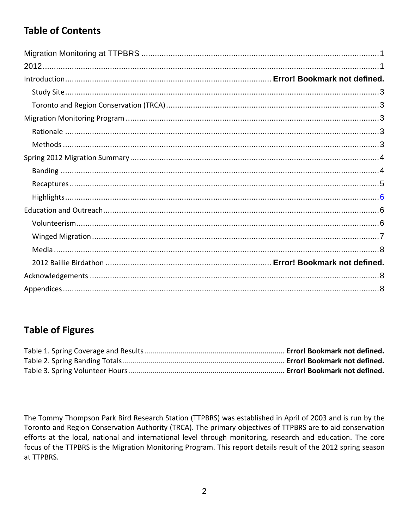# **Table of Contents**

# **Table of Figures**

The Tommy Thompson Park Bird Research Station (TTPBRS) was established in April of 2003 and is run by the Toronto and Region Conservation Authority (TRCA). The primary objectives of TTPBRS are to aid conservation efforts at the local, national and international level through monitoring, research and education. The core focus of the TTPBRS is the Migration Monitoring Program. This report details result of the 2012 spring season at TTPBRS.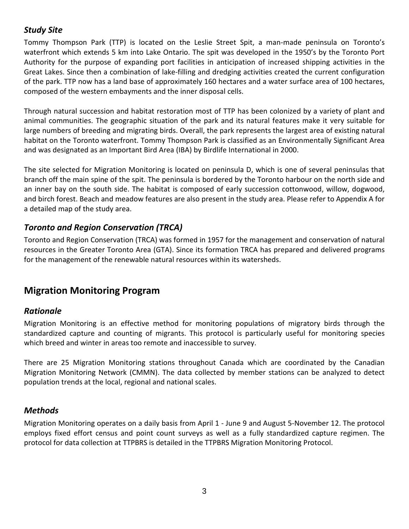## <span id="page-2-0"></span>*Study Site*

Tommy Thompson Park (TTP) is located on the Leslie Street Spit, a man-made peninsula on Toronto's waterfront which extends 5 km into Lake Ontario. The spit was developed in the 1950's by the Toronto Port Authority for the purpose of expanding port facilities in anticipation of increased shipping activities in the Great Lakes. Since then a combination of lake-filling and dredging activities created the current configuration of the park. TTP now has a land base of approximately 160 hectares and a water surface area of 100 hectares, composed of the western embayments and the inner disposal cells.

Through natural succession and habitat restoration most of TTP has been colonized by a variety of plant and animal communities. The geographic situation of the park and its natural features make it very suitable for large numbers of breeding and migrating birds. Overall, the park represents the largest area of existing natural habitat on the Toronto waterfront. Tommy Thompson Park is classified as an Environmentally Significant Area and was designated as an Important Bird Area (IBA) by Birdlife International in 2000.

The site selected for Migration Monitoring is located on peninsula D, which is one of several peninsulas that branch off the main spine of the spit. The peninsula is bordered by the Toronto harbour on the north side and an inner bay on the south side. The habitat is composed of early succession cottonwood, willow, dogwood, and birch forest. Beach and meadow features are also present in the study area. Please refer to Appendix A for a detailed map of the study area.

## <span id="page-2-1"></span>*Toronto and Region Conservation (TRCA)*

Toronto and Region Conservation (TRCA) was formed in 1957 for the management and conservation of natural resources in the Greater Toronto Area (GTA). Since its formation TRCA has prepared and delivered programs for the management of the renewable natural resources within its watersheds.

## <span id="page-2-2"></span>**Migration Monitoring Program**

#### <span id="page-2-3"></span>*Rationale*

Migration Monitoring is an effective method for monitoring populations of migratory birds through the standardized capture and counting of migrants. This protocol is particularly useful for monitoring species which breed and winter in areas too remote and inaccessible to survey.

There are 25 Migration Monitoring stations throughout Canada which are coordinated by the Canadian Migration Monitoring Network (CMMN). The data collected by member stations can be analyzed to detect population trends at the local, regional and national scales.

## <span id="page-2-4"></span>*Methods*

Migration Monitoring operates on a daily basis from April 1 - June 9 and August 5-November 12. The protocol employs fixed effort census and point count surveys as well as a fully standardized capture regimen. The protocol for data collection at TTPBRS is detailed in the TTPBRS Migration Monitoring Protocol.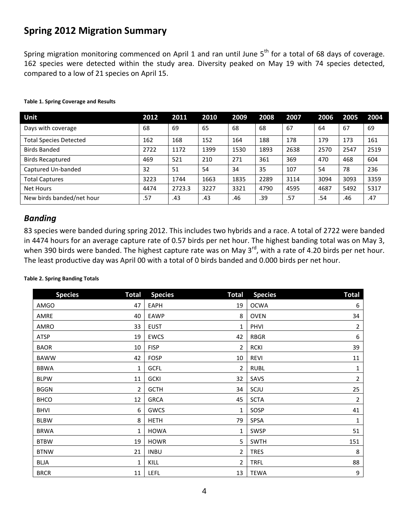## <span id="page-3-0"></span>**Spring 2012 Migration Summary**

Spring migration monitoring commenced on April 1 and ran until June  $5<sup>th</sup>$  for a total of 68 days of coverage. 162 species were detected within the study area. Diversity peaked on May 19 with 74 species detected, compared to a low of 21 species on April 15.

| Unit                          | 2012 | 2011   | 2010 | 2009 | 2008 | 2007 | 2006 | 2005 | 2004 |
|-------------------------------|------|--------|------|------|------|------|------|------|------|
| Days with coverage            | 68   | 69     | 65   | 68   | 68   | 67   | 64   | 67   | 69   |
| <b>Total Species Detected</b> | 162  | 168    | 152  | 164  | 188  | 178  | 179  | 173  | 161  |
| <b>Birds Banded</b>           | 2722 | 1172   | 1399 | 1530 | 1893 | 2638 | 2570 | 2547 | 2519 |
| <b>Birds Recaptured</b>       | 469  | 521    | 210  | 271  | 361  | 369  | 470  | 468  | 604  |
| Captured Un-banded            | 32   | 51     | 54   | 34   | 35   | 107  | 54   | 78   | 236  |
| <b>Total Captures</b>         | 3223 | 1744   | 1663 | 1835 | 2289 | 3114 | 3094 | 3093 | 3359 |
| <b>Net Hours</b>              | 4474 | 2723.3 | 3227 | 3321 | 4790 | 4595 | 4687 | 5492 | 5317 |
| New birds banded/net hour     | .57  | .43    | .43  | .46  | .39  | .57  | .54  | .46  | .47  |

#### **Table 1. Spring Coverage and Results**

#### <span id="page-3-1"></span>*Banding*

83 species were banded during spring 2012. This includes two hybrids and a race. A total of 2722 were banded in 4474 hours for an average capture rate of 0.57 birds per net hour. The highest banding total was on May 3, when 390 birds were banded. The highest capture rate was on May 3<sup>rd</sup>, with a rate of 4.20 birds per net hour. The least productive day was April 00 with a total of 0 birds banded and 0.000 birds per net hour.

#### **Table 2. Spring Banding Totals**

| <b>Species</b> | <b>Total</b> | <b>Species</b> | <b>Total</b> | <b>Species</b> | <b>Total</b>   |
|----------------|--------------|----------------|--------------|----------------|----------------|
| <b>AMGO</b>    | 47           | EAPH           | 19           | <b>OCWA</b>    | 6              |
| AMRE           | 40           | EAWP           | 8            | <b>OVEN</b>    | 34             |
| AMRO           | 33           | EUST           | 1            | PHVI           | $\overline{2}$ |
| ATSP           | 19           | <b>EWCS</b>    | 42           | <b>RBGR</b>    | 6              |
| <b>BAOR</b>    | 10           | <b>FISP</b>    | 2            | <b>RCKI</b>    | 39             |
| <b>BAWW</b>    | 42           | <b>FOSP</b>    | 10           | <b>REVI</b>    | 11             |
| <b>BBWA</b>    | 1            | <b>GCFL</b>    | 2            | <b>RUBL</b>    | $\mathbf{1}$   |
| <b>BLPW</b>    | 11           | <b>GCKI</b>    | 32           | SAVS           | $\overline{2}$ |
| <b>BGGN</b>    | 2            | <b>GCTH</b>    | 34           | SCJU           | 25             |
| <b>BHCO</b>    | 12           | <b>GRCA</b>    | 45           | <b>SCTA</b>    | $\overline{a}$ |
| <b>BHVI</b>    | 6            | GWCS           | 1            | SOSP           | 41             |
| <b>BLBW</b>    | 8            | <b>HETH</b>    | 79           | SPSA           | $\mathbf 1$    |
| <b>BRWA</b>    | 1            | <b>HOWA</b>    | 1            | <b>SWSP</b>    | 51             |
| <b>BTBW</b>    | 19           | <b>HOWR</b>    | 5            | <b>SWTH</b>    | 151            |
| <b>BTNW</b>    | 21           | <b>INBU</b>    | 2            | <b>TRES</b>    | 8              |
| BLJA           | 1            | KILL           | 2            | <b>TRFL</b>    | 88             |
| <b>BRCR</b>    | 11           | LEFL           | 13           | <b>TEWA</b>    | 9              |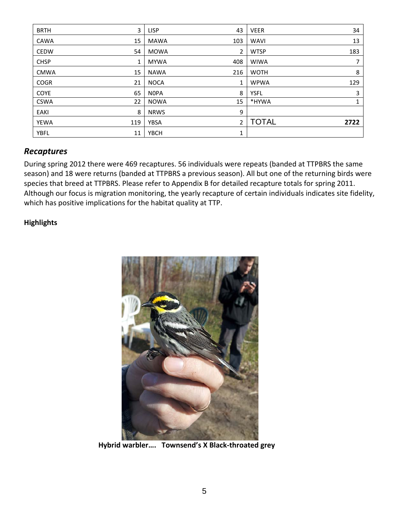| <b>BRTH</b> | 3   | <b>LISP</b> | 43             | <b>VEER</b>  | 34   |
|-------------|-----|-------------|----------------|--------------|------|
| <b>CAWA</b> | 15  | <b>MAWA</b> | 103            | <b>WAVI</b>  | 13   |
| <b>CEDW</b> | 54  | MOWA        | $\overline{2}$ | <b>WTSP</b>  | 183  |
| <b>CHSP</b> | 1   | <b>MYWA</b> | 408            | <b>WIWA</b>  |      |
| <b>CMWA</b> | 15  | <b>NAWA</b> | 216            | <b>WOTH</b>  | 8    |
| <b>COGR</b> | 21  | <b>NOCA</b> | $\mathbf{1}$   | <b>WPWA</b>  | 129  |
| <b>COYE</b> | 65  | <b>NOPA</b> | 8              | <b>YSFL</b>  | 3    |
| <b>CSWA</b> | 22  | <b>NOWA</b> | 15             | *HYWA        | 1    |
| <b>EAKI</b> | 8   | <b>NRWS</b> | 9              |              |      |
| <b>YEWA</b> | 119 | <b>YBSA</b> | $\overline{2}$ | <b>TOTAL</b> | 2722 |
| <b>YBFL</b> | 11  | <b>YBCH</b> | 1              |              |      |

#### <span id="page-4-0"></span>*Recaptures*

During spring 2012 there were 469 recaptures. 56 individuals were repeats (banded at TTPBRS the same season) and 18 were returns (banded at TTPBRS a previous season). All but one of the returning birds were species that breed at TTPBRS. Please refer to Appendix B for detailed recapture totals for spring 2011. Although our focus is migration monitoring, the yearly recapture of certain individuals indicates site fidelity, which has positive implications for the habitat quality at TTP.

#### **Highlights**



 **Hybrid warbler…. Townsend's X Black-throated grey**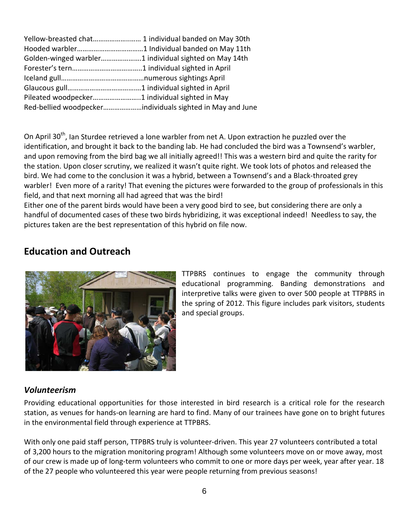| Golden-winged warbler1 individual sighted on May 14th |  |
|-------------------------------------------------------|--|
|                                                       |  |
|                                                       |  |
|                                                       |  |
|                                                       |  |
|                                                       |  |

On April 30<sup>th</sup>, Ian Sturdee retrieved a lone warbler from net A. Upon extraction he puzzled over the identification, and brought it back to the banding lab. He had concluded the bird was a Townsend's warbler, and upon removing from the bird bag we all initially agreed!! This was a western bird and quite the rarity for the station. Upon closer scrutiny, we realized it wasn't quite right. We took lots of photos and released the bird. We had come to the conclusion it was a hybrid, between a Townsend's and a Black-throated grey warbler! Even more of a rarity! That evening the pictures were forwarded to the group of professionals in this field, and that next morning all had agreed that was the bird!

Either one of the parent birds would have been a very good bird to see, but considering there are only a handful of documented cases of these two birds hybridizing, it was exceptional indeed! Needless to say, the pictures taken are the best representation of this hybrid on file now.

## <span id="page-5-0"></span>**Education and Outreach**



<span id="page-5-1"></span>TTPBRS continues to engage the community through educational programming. Banding demonstrations and interpretive talks were given to over 500 people at TTPBRS in the spring of 2012. This figure includes park visitors, students and special groups.

#### *Volunteerism*

Providing educational opportunities for those interested in bird research is a critical role for the research station, as venues for hands-on learning are hard to find. Many of our trainees have gone on to bright futures in the environmental field through experience at TTPBRS.

With only one paid staff person, TTPBRS truly is volunteer-driven. This year 27 volunteers contributed a total of 3,200 hours to the migration monitoring program! Although some volunteers move on or move away, most of our crew is made up of long-term volunteers who commit to one or more days per week, year after year. 18 of the 27 people who volunteered this year were people returning from previous seasons!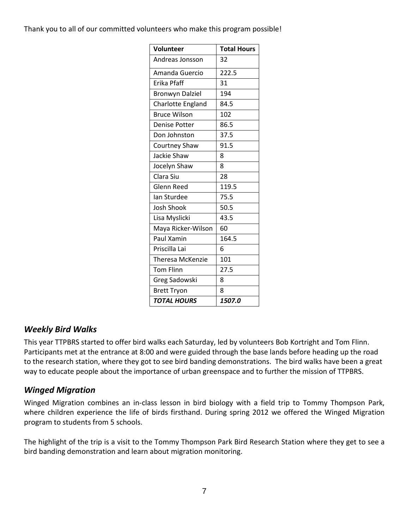#### Thank you to all of our committed volunteers who make this program possible!

| <b>Volunteer</b>        | <b>Total Hours</b> |
|-------------------------|--------------------|
| Andreas Jonsson         | 32                 |
| Amanda Guercio          | 222.5              |
| Erika Pfaff             | 31                 |
| <b>Bronwyn Dalziel</b>  | 194                |
| Charlotte England       | 84.5               |
| <b>Bruce Wilson</b>     | 102                |
| <b>Denise Potter</b>    | 86.5               |
| Don Johnston            | 37.5               |
| Courtney Shaw           | 91.5               |
| Jackie Shaw             | 8                  |
| Jocelyn Shaw            | 8                  |
| Clara Siu               | 28                 |
| <b>Glenn Reed</b>       | 119.5              |
| lan Sturdee             | 75.5               |
| <b>Josh Shook</b>       | 50.5               |
| Lisa Myslicki           | 43.5               |
| Maya Ricker-Wilson      | 60                 |
| Paul Xamin              | 164.5              |
| Priscilla Lai           | 6                  |
| <b>Theresa McKenzie</b> | 101                |
| <b>Tom Flinn</b>        | 27.5               |
| <b>Greg Sadowski</b>    | 8                  |
| <b>Brett Tryon</b>      | 8                  |
| <b>TOTAL HOURS</b>      | 1507.0             |

## *Weekly Bird Walks*

This year TTPBRS started to offer bird walks each Saturday, led by volunteers Bob Kortright and Tom Flinn. Participants met at the entrance at 8:00 and were guided through the base lands before heading up the road to the research station, where they got to see bird banding demonstrations. The bird walks have been a great way to educate people about the importance of urban greenspace and to further the mission of TTPBRS.

## <span id="page-6-0"></span>*Winged Migration*

Winged Migration combines an in-class lesson in bird biology with a field trip to Tommy Thompson Park, where children experience the life of birds firsthand. During spring 2012 we offered the Winged Migration program to students from 5 schools.

The highlight of the trip is a visit to the Tommy Thompson Park Bird Research Station where they get to see a bird banding demonstration and learn about migration monitoring.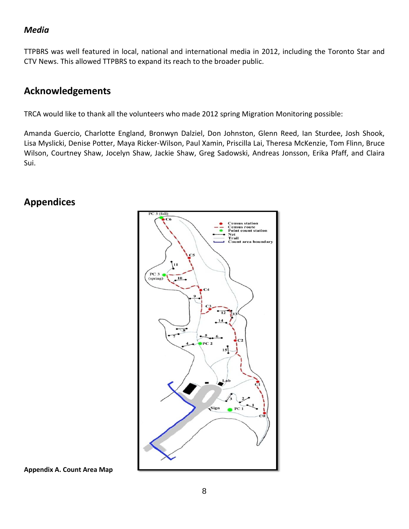#### <span id="page-7-0"></span>*Media*

TTPBRS was well featured in local, national and international media in 2012, including the Toronto Star and CTV News. This allowed TTPBRS to expand its reach to the broader public.

## <span id="page-7-1"></span>**Acknowledgements**

TRCA would like to thank all the volunteers who made 2012 spring Migration Monitoring possible:

Amanda Guercio, Charlotte England, Bronwyn Dalziel, Don Johnston, Glenn Reed, Ian Sturdee, Josh Shook, Lisa Myslicki, Denise Potter, Maya Ricker-Wilson, Paul Xamin, Priscilla Lai, Theresa McKenzie, Tom Flinn, Bruce Wilson, Courtney Shaw, Jocelyn Shaw, Jackie Shaw, Greg Sadowski, Andreas Jonsson, Erika Pfaff, and Claira Sui.

## <span id="page-7-2"></span>**Appendices**



**Appendix A. Count Area Map**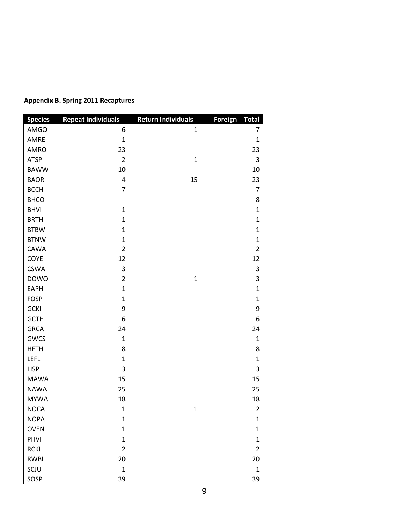| <b>Species</b> | <b>Repeat Individuals</b> | <b>Return Individuals</b> | Foreign Total  |
|----------------|---------------------------|---------------------------|----------------|
| AMGO           | 6                         | $\mathbf{1}$              | $\overline{7}$ |
| AMRE           | $\mathbf{1}$              |                           | $\mathbf{1}$   |
| AMRO           | 23                        |                           | 23             |
| <b>ATSP</b>    | $\overline{2}$            | $\mathbf{1}$              | 3              |
| <b>BAWW</b>    | 10                        |                           | 10             |
| <b>BAOR</b>    | $\overline{\mathbf{4}}$   | 15                        | 23             |
| <b>BCCH</b>    | $\overline{7}$            |                           | $\overline{7}$ |
| <b>BHCO</b>    |                           |                           | 8              |
| <b>BHVI</b>    | $\mathbf{1}$              |                           | $\mathbf 1$    |
| <b>BRTH</b>    | $\mathbf{1}$              |                           | $\mathbf{1}$   |
| <b>BTBW</b>    | $\mathbf{1}$              |                           | $\mathbf{1}$   |
| <b>BTNW</b>    | $\mathbf{1}$              |                           | $\mathbf{1}$   |
| CAWA           | $\overline{2}$            |                           | $\overline{2}$ |
| COYE           | 12                        |                           | 12             |
| <b>CSWA</b>    | 3                         |                           | 3              |
| <b>DOWO</b>    | $\overline{2}$            | $\mathbf 1$               | 3              |
| <b>EAPH</b>    | $\mathbf{1}$              |                           | $\mathbf 1$    |
| <b>FOSP</b>    | $\mathbf{1}$              |                           | $\mathbf{1}$   |
| <b>GCKI</b>    | 9                         |                           | 9              |
| <b>GCTH</b>    | 6                         |                           | 6              |
| <b>GRCA</b>    | 24                        |                           | 24             |
| GWCS           | $\mathbf{1}$              |                           | $\mathbf{1}$   |
| <b>HETH</b>    | 8                         |                           | 8              |
| <b>LEFL</b>    | $\mathbf{1}$              |                           | $\mathbf 1$    |
| <b>LISP</b>    | 3                         |                           | 3              |
| <b>MAWA</b>    | 15                        |                           | 15             |
| <b>NAWA</b>    | 25                        |                           | 25             |
| <b>MYWA</b>    | 18                        |                           | 18             |
| <b>NOCA</b>    | 1                         | $\mathbf{1}$              | $\overline{2}$ |
| <b>NOPA</b>    | $\mathbf 1$               |                           | $\mathbf{1}$   |
| <b>OVEN</b>    | $\mathbf{1}$              |                           | $\mathbf{1}$   |
| PHVI           | $\mathbf{1}$              |                           | $\mathbf 1$    |
| <b>RCKI</b>    | $\overline{2}$            |                           | $\overline{2}$ |
| <b>RWBL</b>    | 20                        |                           | 20             |
| SCJU           | $\mathbf{1}$              |                           | $\mathbf 1$    |
| SOSP           | 39                        |                           | 39             |

#### **Appendix B. Spring 2011 Recaptures**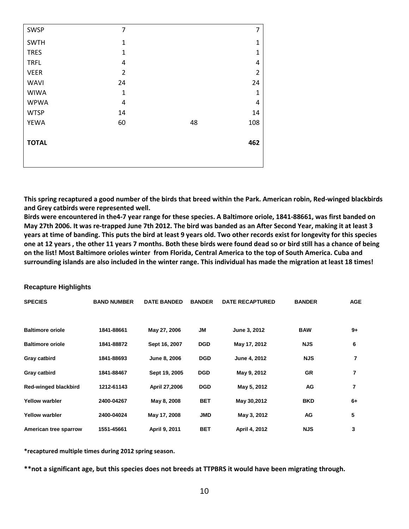| <b>SWSP</b>  | $\overline{7}$ |    | 7              |
|--------------|----------------|----|----------------|
| <b>SWTH</b>  | 1              |    | 1              |
| <b>TRES</b>  | $\mathbf{1}$   |    | $\mathbf{1}$   |
| <b>TRFL</b>  | 4              |    | 4              |
| <b>VEER</b>  | $\overline{2}$ |    | $\overline{2}$ |
| <b>WAVI</b>  | 24             |    | 24             |
| <b>WIWA</b>  | $\mathbf{1}$   |    | $\mathbf 1$    |
| <b>WPWA</b>  | 4              |    | $\overline{4}$ |
| <b>WTSP</b>  | 14             |    | 14             |
| <b>YEWA</b>  | 60             | 48 | 108            |
|              |                |    |                |
| <b>TOTAL</b> |                |    | 462            |
|              |                |    |                |
|              |                |    |                |

**This spring recaptured a good number of the birds that breed within the Park. American robin, Red-winged blackbirds and Grey catbirds were represented well.**

**Birds were encountered in the4-7 year range for these species. A Baltimore oriole, 1841-88661, was first banded on May 27th 2006. It was re-trapped June 7th 2012. The bird was banded as an After Second Year, making it at least 3 years at time of banding. This puts the bird at least 9 years old. Two other records exist for longevity for this species one at 12 years , the other 11 years 7 months. Both these birds were found dead so or bird still has a chance of being on the list! Most Baltimore orioles winter from Florida, Central America to the top of South America. Cuba and surrounding islands are also included in the winter range. This individual has made the migration at least 18 times!**

#### **Recapture Highlights**

| <b>SPECIES</b>          | <b>BAND NUMBER</b> | <b>DATE BANDED</b> | <b>BANDER</b> | <b>DATE RECAPTURED</b> | <b>BANDER</b> | <b>AGE</b>     |
|-------------------------|--------------------|--------------------|---------------|------------------------|---------------|----------------|
| <b>Baltimore oriole</b> | 1841-88661         | May 27, 2006       | JM            | June 3, 2012           | <b>BAW</b>    | $9+$           |
| <b>Baltimore oriole</b> | 1841-88872         | Sept 16, 2007      | <b>DGD</b>    | May 17, 2012           | <b>NJS</b>    | 6              |
| Gray catbird            | 1841-88693         | June 8, 2006       | <b>DGD</b>    | June 4, 2012           | <b>NJS</b>    | 7              |
| Gray catbird            | 1841-88467         | Sept 19, 2005      | <b>DGD</b>    | May 9, 2012            | GR            | 7              |
| Red-winged blackbird    | 1212-61143         | April 27,2006      | <b>DGD</b>    | May 5, 2012            | AG            | $\overline{7}$ |
| <b>Yellow warbler</b>   | 2400-04267         | May 8, 2008        | <b>BET</b>    | May 30,2012            | <b>BKD</b>    | $6+$           |
| <b>Yellow warbler</b>   | 2400-04024         | May 17, 2008       | <b>JMD</b>    | May 3, 2012            | AG            | 5              |
| American tree sparrow   | 1551-45661         | April 9, 2011      | <b>BET</b>    | April 4, 2012          | <b>NJS</b>    | 3              |

**\*recaptured multiple times during 2012 spring season.**

**\*\*not a significant age, but this species does not breeds at TTPBRS it would have been migrating through.**